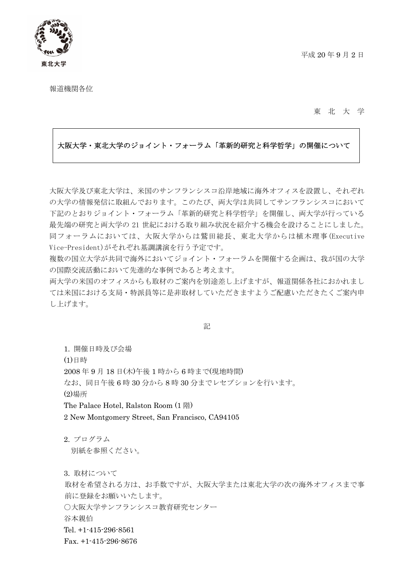



報道機関各位

東 北 大 学

#### 大阪大学・東北大学のジョイント・フォーラム「革新的研究と科学哲学」の開催について

大阪大学及び東北大学は、米国のサンフランシスコ沿岸地域に海外オフィスを設置し、それぞれ の大学の情報発信に取組んでおります。このたび、両大学は共同してサンフランシスコにおいて 下記のとおりジョイント・フォーラム「革新的研究と科学哲学」を開催し、両大学が行っている 最先端の研究と両大学の 21 世紀における取り組み状況を紹介する機会を設けることにしました。 同フォーラムにおいては、大阪大学からは鷲田総長、東北大学からは植木理事(Executive Vice-President)がそれぞれ基調講演を行う予定です。

複数の国立大学が共同で海外においてジョイント・フォーラムを開催する企画は、我が国の大学 の国際交流活動において先進的な事例であると考えます。

両大学の米国のオフィスからも取材のご案内を別途差し上げますが、報道関係各社におかれまし ては米国における支局・特派員等に是非取材していただきますようご配慮いただきたくご案内申 し上げます。

記

1. 開催日時及び会場 (1)日時 2008 年 9 月 18 日(木)午後 1 時から 6 時まで(現地時間) なお、同日午後 6 時 30 分から 8 時 30 分までレセプションを行います。 (2)場所 The Palace Hotel, Ralston Room (1 階)

2 New Montgomery Street, San Francisco, CA94105

2. プログラム 別紙を参照ください。

3. 取材について

取材を希望される方は、お手数ですが、大阪大学または東北大学の次の海外オフィスまで事 前に登録をお願いいたします。

○大阪大学サンフランシスコ教育研究センター

谷本親伯

Tel. +1-415-296-8561

Fax. +1-415-296-8676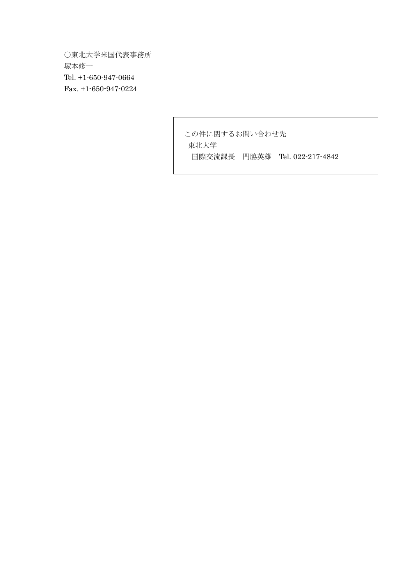○東北大学米国代表事務所 塚本修一 Tel. +1-650-947-0664 Fax. +1-650-947-0224

> この件に関するお問い合わせ先 東北大学 国際交流課長 門脇英雄 Tel. 022-217-4842